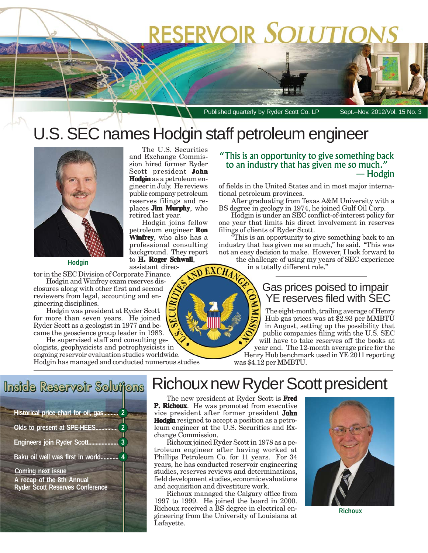# RESERVOIR SOLUTIOI

Published quarterly by Ryder Scott Co. LP Sept.-Nov. 2012/Vol. 15 No. 3

### U.S. SEC names Hodgin staff petroleum engineer

The U.S. Securities and Exchange Commission hired former Ryder Scott president **John Hodgin** as a petroleum engineer in July. He reviews public company petroleum reserves filings and replaces **Jim Murphy**, who

Hodgin joins fellow petroleum engineer **Ron Winfrey**, who also has a professional consulting background. They report to **H. Roger Schwall** ,

retired last year.



**Hodgin**

tor in the SEC Division of Corporate Finance.

Hodgin and Winfrey exam reserves disclosures along with other first and second reviewers from legal, accounting and engineering disciplines.

Hodgin was president at Ryder Scott for more than seven years. He joined Ryder Scott as a geologist in 1977 and became the geoscience group leader in 1983.

He supervised staff and consulting geologists, geophysicists and petrophysicists in ongoing reservoir evaluation studies worldwide. Hodgin has managed and conducted numerous studies

#### "This is an opportunity to give something back to an industry that has given me so much." — Hodgin

of fields in the United States and in most major international petroleum provinces.

After graduating from Texas A&M University with a BS degree in geology in 1974, he joined Gulf Oil Corp.

Hodgin is under an SEC conflict-of-interest policy for one year that limits his direct involvement in reserves filings of clients of Ryder Scott.

"This is an opportunity to give something back to an industry that has given me so much," he said. "This was not an easy decision to make. However, I look forward to

the challenge of using my years of SEC experience in a totally different role."

### Gas prices poised to impair YE reserves filed with SEC

The eight-month, trailing average of Henry Hub gas prices was at \$2.93 per MMBTU in August, setting up the possibility that public companies filing with the U.S. SEC will have to take reserves off the books at year end. The 12-month average price for the Henry Hub benchmark used in YE 2011 reporting was \$4.12 per MMBTU.

assistant direc-**ND EXCHAM** 

## Inside Reservoir Solutions

**Historical price chart for oil, gas.......... 2 Olds to present at SPE-HEES. Engineers join Ryder Scott.................... 3 Baku oil well was first in world............ 4**

**Coming next issue A recap of the 8th Annual Ryder Scott Reserves Conference**

### Richoux new Ryder Scott president

The new president at Ryder Scott is **Fred P. Richoux**. He was promoted from executive vice president after former president **John Hodgin** resigned to accept a position as a petroleum engineer at the U.S. Securities and Exchange Commission.

Richoux joined Ryder Scott in 1978 as a petroleum engineer after having worked at Phillips Petroleum Co. for 11 years. For 34 years, he has conducted reservoir engineering studies, reserves reviews and determinations, field development studies, economic evaluations and acquisition and divestiture work.

Richoux managed the Calgary office from 1997 to 1999. He joined the board in 2000. Richoux received a BS degree in electrical engineering from the University of Louisiana at Lafayette.



**Richoux**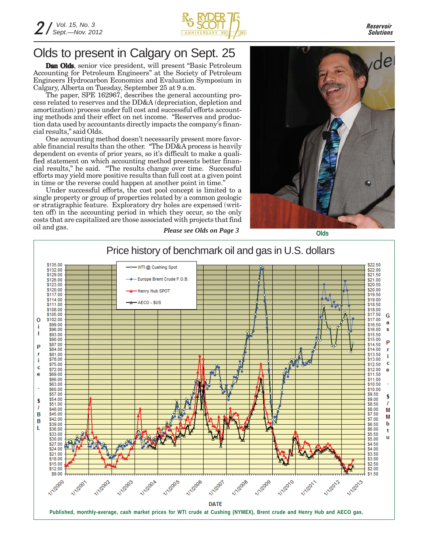

*Reservoir Solutions*

### Olds to present in Calgary on Sept. 25

**Dan Olds**, senior vice president, will present "Basic Petroleum Accounting for Petroleum Engineers" at the Society of Petroleum Engineers Hydrocarbon Economics and Evaluation Symposium in Calgary, Alberta on Tuesday, September 25 at 9 a.m.

The paper, SPE 162967, describes the general accounting process related to reserves and the DD&A (depreciation, depletion and amortization) process under full cost and successful efforts accounting methods and their effect on net income. "Reserves and production data used by accountants directly impacts the company's financial results," said Olds.

One accounting method doesn't necessarily present more favorable financial results than the other. "The DD&A process is heavily dependent on events of prior years, so it's difficult to make a qualified statement on which accounting method presents better financial results," he said. "The results change over time. Successful efforts may yield more positive results than full cost at a given point in time or the reverse could happen at another point in time."

*Please see Olds on Page 3* Under successful efforts, the cost pool concept is limited to a single property or group of properties related by a common geologic or stratigraphic feature. Exploratory dry holes are expensed (written off) in the accounting period in which they occur, so the only costs that are capitalized are those associated with projects that find oil and gas.



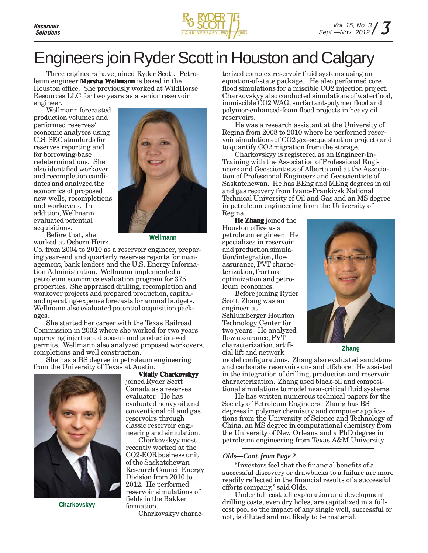

## Engineers join Ryder Scott in Houston and Calgary

Three engineers have joined Ryder Scott. Petroleum engineer **Marsha Wellmann** is based in the Houston office. She previously worked at WildHorse Resources LLC for two years as a senior reservoir engineer.

Wellmann forecasted production volumes and performed reserves/ economic analyses using U.S. SEC standards for reserves reporting and for borrowing-base redeterminations. She also identified workover and recompletion candidates and analyzed the economics of proposed new wells, recompletions and workovers. In addition, Wellmann evaluated potential acquisitions.



Before that, she worked at Osborn Heirs

**Wellmann**

Co. from 2004 to 2010 as a reservoir engineer, preparing year-end and quarterly reserves reports for management, bank lenders and the U.S. Energy Information Administration. Wellmann implemented a petroleum economics evaluation program for 375 properties. She appraised drilling, recompletion and workover projects and prepared production, capitaland operating-expense forecasts for annual budgets. Wellmann also evaluated potential acquisition packages.

She started her career with the Texas Railroad Commission in 2002 where she worked for two years approving injection-, disposal- and production-well permits. Wellmann also analyzed proposed workovers, completions and well construction.

She has a BS degree in petroleum engineering from the University of Texas at Austin.



**Charkovskyy**

**Vitaliy Charkovskyy**

joined Ryder Scott Canada as a reserves evaluator. He has evaluated heavy oil and conventional oil and gas reservoirs through classic reservoir engineering and simulation.

Charkovskyy most recently worked at the CO2-EOR business unit of the Saskatchewan Research Council Energy Division from 2010 to 2012. He performed reservoir simulations of fields in the Bakken formation.

Charkovskyy charac-

terized complex reservoir fluid systems using an equation-of-state package. He also performed core flood simulations for a miscible CO2 injection project. Charkovskyy also conducted simulations of waterflood, immiscible CO2 WAG, surfactant-polymer flood and polymer-enhanced-foam flood projects in heavy oil reservoirs.

He was a research assistant at the University of Regina from 2008 to 2010 where he performed reservoir simulations of CO2 geo-sequestration projects and to quantify CO2 migration from the storage.

Charkovskyy is registered as an Engineer-In-Training with the Association of Professional Engineers and Geoscientists of Alberta and at the Association of Professional Engineers and Geoscientists of Saskatchewan. He has BEng and MEng degrees in oil and gas recovery from Ivano-Frankivsk National Technical University of Oil and Gas and an MS degree in petroleum engineering from the University of Regina.

**He Zhang** joined the Houston office as a petroleum engineer. He specializes in reservoir and production simulation/integration, flow assurance, PVT characterization, fracture optimization and petroleum economics.

Before joining Ryder Scott, Zhang was an engineer at Schlumberger Houston Technology Center for two years. He analyzed

flow assurance, PVT characterization, artifi-

cial lift and network **Zhang**

model configurations. Zhang also evaluated sandstone and carbonate reservoirs on- and offshore. He assisted in the integration of drilling, production and reservoir characterization. Zhang used black-oil and compositional simulations to model near-critical fluid systems.

He has written numerous technical papers for the Society of Petroleum Engineers. Zhang has BS degrees in polymer chemistry and computer applications from the University of Science and Technology of China, an MS degree in computational chemistry from the University of New Orleans and a PhD degree in petroleum engineering from Texas A&M University.

#### *Olds—Cont. from Page 2*

"Investors feel that the financial benefits of a successful discovery or drawbacks to a failure are more readily reflected in the financial results of a successful efforts company," said Olds.

Under full cost, all exploration and development drilling costs, even dry holes, are capitalized in a fullcost pool so the impact of any single well, successful or not, is diluted and not likely to be material.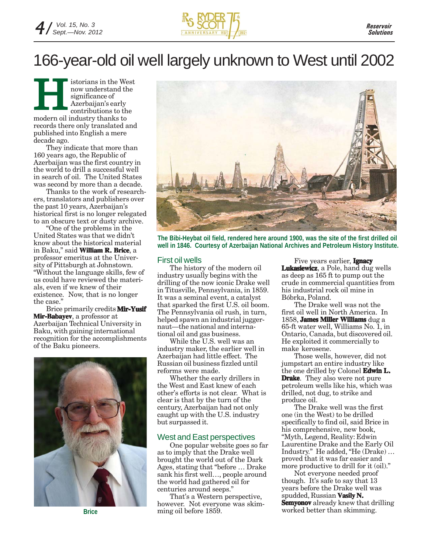

### 166-year-old oil well largely unknown to West until 2002

istorians in the West now understand the significance of Azerbaijan's early contributions to the Indow understand the Way move understand the significance of Azerbaijan's early contributions to the modern oil industry thanks to records there only translated and published into English a mere decade ago.

They indicate that more than 160 years ago, the Republic of Azerbaijan was the first country in the world to drill a successful well in search of oil. The United States was second by more than a decade.

Thanks to the work of researchers, translators and publishers over the past 10 years, Azerbaijan's historical first is no longer relegated to an obscure text or dusty archive.

"One of the problems in the United States was that we didn't know about the historical material in Baku," said **William R. Brice**, a professor emeritus at the University of Pittsburgh at Johnstown. "Without the language skills, few of us could have reviewed the materials, even if we knew of their existence. Now, that is no longer the case.'

Brice primarily credits **Mir-Yusif Mir-Babayev**, a professor at Azerbaijan Technical University in Baku, with gaining international recognition for the accomplishments of the Baku pioneers.



**Brice**



**The Bibi-Heybat oil field, rendered here around 1900, was the site of the first drilled oil well in 1846. Courtesy of Azerbaijan National Archives and Petroleum History Institute.**

#### First oil wells

The history of the modern oil industry usually begins with the drilling of the now iconic Drake well in Titusville, Pennsylvania, in 1859. It was a seminal event, a catalyst that sparked the first U.S. oil boom. The Pennsylvania oil rush, in turn, helped spawn an industrial juggernaut—the national and international oil and gas business.

While the U.S. well was an industry maker, the earlier well in Azerbaijan had little effect. The Russian oil business fizzled until reforms were made.

Whether the early drillers in the West and East knew of each other's efforts is not clear. What is clear is that by the turn of the century, Azerbaijan had not only caught up with the U.S. industry but surpassed it.

#### West and East perspectives

One popular website goes so far as to imply that the Drake well brought the world out of the Dark Ages, stating that "before … Drake sank his first well…, people around the world had gathered oil for centuries around seeps."

That's a Western perspective, however. Not everyone was skimming oil before 1859.

Five years earlier, **Ignacy Lukasiewicz**, a Pole, hand dug wells as deep as 165 ft to pump out the crude in commercial quantities from his industrial rock oil mine in Bóbrka, Poland.

The Drake well was not the first oil well in North America. In 1858, **James Miller Williams** dug a 65-ft water well, Williams No. 1, in Ontario, Canada, but discovered oil. He exploited it commercially to make kerosene.

Those wells, however, did not jumpstart an entire industry like the one drilled by Colonel **Edwin L. Edwin Drake**. They also were not pure petroleum wells like his, which was drilled, not dug, to strike and produce oil.

The Drake well was the first one (in the West) to be drilled specifically to find oil, said Brice in his comprehensive, new book, "Myth, Legend, Reality: Edwin Laurentine Drake and the Early Oil Industry." He added, "He (Drake) … proved that it was far easier and more productive to drill for it (oil)."

Not everyone needed proof though. It's safe to say that 13 years before the Drake well was spudded, Russian **Vasily N. Semyonov** already knew that drilling worked better than skimming.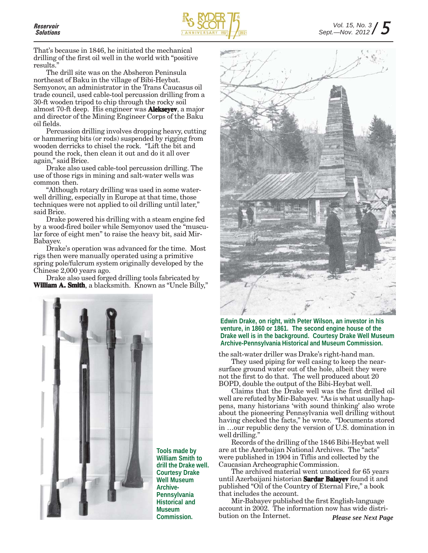

That's because in 1846, he initiated the mechanical drilling of the first oil well in the world with "positive results."

The drill site was on the Absheron Peninsula northeast of Baku in the village of Bibi-Heybat. Semyonov, an administrator in the Trans Caucasus oil trade council, used cable-tool percussion drilling from a 30-ft wooden tripod to chip through the rocky soil almost 70-ft deep. His engineer was **Alekseyev**, a major and director of the Mining Engineer Corps of the Baku oil fields.

Percussion drilling involves dropping heavy, cutting or hammering bits (or rods) suspended by rigging from wooden derricks to chisel the rock. "Lift the bit and pound the rock, then clean it out and do it all over again," said Brice.

Drake also used cable-tool percussion drilling. The use of those rigs in mining and salt-water wells was common then.

"Although rotary drilling was used in some waterwell drilling, especially in Europe at that time, those techniques were not applied to oil drilling until later," said Brice.

Drake powered his drilling with a steam engine fed by a wood-fired boiler while Semyonov used the "muscular force of eight men" to raise the heavy bit, said Mir-Babayev.

Drake's operation was advanced for the time. Most rigs then were manually operated using a primitive spring pole/fulcrum system originally developed by the Chinese 2,000 years ago.

Drake also used forged drilling tools fabricated by **William A. Smith**, a blacksmith. Known as "Uncle Billy,"



**Tools made by William Smith to drill the Drake well. Courtesy Drake Well Museum Archive-Pennsylvania Historical and Museum Commission.**



**Edwin Drake, on right, with Peter Wilson, an investor in his venture, in 1860 or 1861. The second engine house of the Drake well is in the background. Courtesy Drake Well Museum Archive-Pennsylvania Historical and Museum Commission.**

the salt-water driller was Drake's right-hand man.

They used piping for well casing to keep the nearsurface ground water out of the hole, albeit they were not the first to do that. The well produced about 20 BOPD, double the output of the Bibi-Heybat well.

Claims that the Drake well was the first drilled oil well are refuted by Mir-Babayev. "As is what usually happens, many historians 'with sound thinking' also wrote about the pioneering Pennsylvania well drilling without having checked the facts," he wrote. "Documents stored in …our republic deny the version of U.S. domination in well drilling."

Records of the drilling of the 1846 Bibi-Heybat well are at the Azerbaijan National Archives. The "acts" were published in 1904 in Tiflis and collected by the Caucasian Archeographic Commission.

The archived material went unnoticed for 65 years until Azerbaijani historian **Sardar Balayev** found it and published "Oil of the Country of Eternal Fire," a book that includes the account.

Mir-Babayev published the first English-language account in 2002. The information now has wide distribution on the Internet. *Please see Next Page*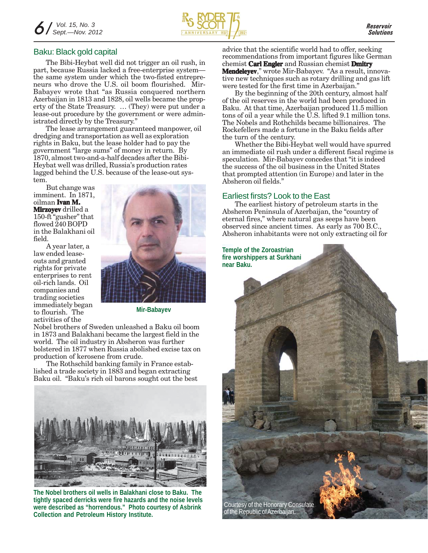

#### Baku: Black gold capital

The Bibi-Heybat well did not trigger an oil rush, in part, because Russia lacked a free-enterprise system the same system under which the two-fisted entrepreneurs who drove the U.S. oil boom flourished. Mir-Babayev wrote that "as Russia conquered northern Azerbaijan in 1813 and 1828, oil wells became the property of the State Treasury. … (They) were put under a lease-out procedure by the government or were administrated directly by the Treasury."

The lease arrangement guaranteed manpower, oil dredging and transportation as well as exploration rights in Baku, but the lease holder had to pay the government "large sums" of money in return. By 1870, almost two-and-a-half decades after the Bibi-Heybat well was drilled, Russia's production rates lagged behind the U.S. because of the lease-out system.

But change was imminent. In 1871, oilman **Ivan M. Ivan M. Mirzoyev** drilled a 150-ft "gusher" that flowed 240 BOPD in the Balakhani oil field.

A year later, a law ended leaseouts and granted rights for private enterprises to rent oil-rich lands. Oil companies and trading societies immediately began to flourish. The activities of the



**Mir-Babayev**

Nobel brothers of Sweden unleashed a Baku oil boom in 1873 and Balakhani became the largest field in the world. The oil industry in Absheron was further bolstered in 1877 when Russia abolished excise tax on production of kerosene from crude.

The Rothschild banking family in France established a trade society in 1883 and began extracting Baku oil. "Baku's rich oil barons sought out the best



**The Nobel brothers oil wells in Balakhani close to Baku. The tightly spaced derricks were fire hazards and the noise levels were described as "horrendous." Photo courtesy of Asbrink Collection and Petroleum History Institute.**

advice that the scientific world had to offer, seeking recommendations from important figures like German chemist **Carl Engler** and Russian chemist **Dmitry Mendeleyev**," wrote Mir-Babayev. "As a result, innovative new techniques such as rotary drilling and gas lift were tested for the first time in Azerbaijan."

By the beginning of the 20th century, almost half of the oil reserves in the world had been produced in Baku. At that time, Azerbaijan produced 11.5 million tons of oil a year while the U.S. lifted 9.1 million tons. The Nobels and Rothchilds became billionaires. The Rockefellers made a fortune in the Baku fields after the turn of the century.

Whether the Bibi-Heybat well would have spurred an immediate oil rush under a different fiscal regime is speculation. Mir-Babayev concedes that "it is indeed the success of the oil business in the United States that prompted attention (in Europe) and later in the Absheron oil fields."

#### Earliest firsts? Look to the East

The earliest history of petroleum starts in the Absheron Peninsula of Azerbaijan, the "country of eternal fires," where natural gas seeps have been observed since ancient times. As early as 700 B.C., Absheron inhabitants were not only extracting oil for

**Temple of the Zoroastrian fire worshippers at Surkhani near Baku.**

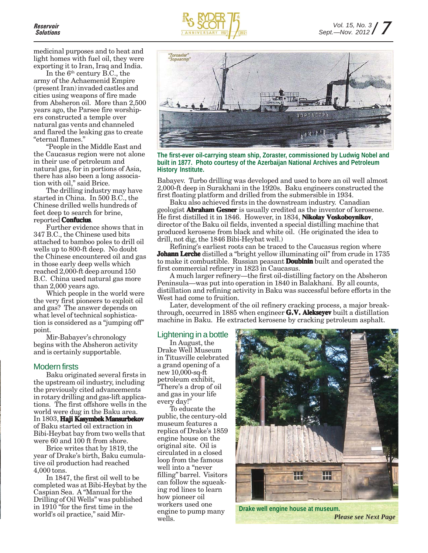

medicinal purposes and to heat and light homes with fuel oil, they were exporting it to Iran, Iraq and India.

In the  $6<sup>th</sup>$  century B.C., the army of the Achaemenid Empire (present Iran) invaded castles and cities using weapons of fire made from Absheron oil. More than 2,500 years ago, the Parsee fire worshipers constructed a temple over natural gas vents and channeled and flared the leaking gas to create "eternal flames."

"People in the Middle East and the Caucasus region were not alone in their use of petroleum and natural gas, for in portions of Asia, there has also been a long association with oil," said Brice.

The drilling industry may have started in China. In 500 B.C., the Chinese drilled wells hundreds of feet deep to search for brine, reported **Confucius**.

Further evidence shows that in 347 B.C., the Chinese used bits attached to bamboo poles to drill oil wells up to 800-ft deep. No doubt the Chinese encountered oil and gas in those early deep wells which reached 2,000-ft deep around 150 B.C. China used natural gas more than 2,000 years ago.

Which people in the world were the very first pioneers to exploit oil and gas? The answer depends on what level of technical sophistication is considered as a "jumping off" point.

Mir-Babayev's chronology begins with the Absheron activity and is certainly supportable.

#### Modern firsts

Baku originated several firsts in the upstream oil industry, including the previously cited advancements in rotary drilling and gas-lift applications. The first offshore wells in the world were dug in the Baku area. In 1803, **Haji Kasymbek Mansurbekov** of Baku started oil extraction in Bibi-Heybat bay from two wells that were 60 and 100 ft from shore.

Brice writes that by 1819, the year of Drake's birth, Baku cumulative oil production had reached 4,000 tons.

In 1847, the first oil well to be completed was at Bibi-Heybat by the Caspian Sea. A "Manual for the Drilling of Oil Wells" was published in 1910 "for the first time in the world's oil practice," said Mir-



**The first-ever oil-carrying steam ship, Zoraster, commissioned by Ludwig Nobel and built in 1877. Photo courtesy of the Azerbaijan National Archives and Petroleum History Institute.**

Babayev. Turbo drilling was developed and used to bore an oil well almost 2,000-ft deep in Surakhani in the 1920s. Baku engineers constructed the first floating platform and drilled from the submersible in 1934.

Baku also achieved firsts in the downstream industry. Canadian geologist **Abraham Gesner** is usually credited as the inventor of kerosene. He first distilled it in 1846. However, in 1834, **Nikolay Voskoboynikov**, director of the Baku oil fields, invented a special distilling machine that produced kerosene from black and white oil. (He originated the idea to drill, not dig, the 1846 Bibi-Heybat well.)

Refining's earliest roots can be traced to the Caucasus region where **Johann Lerche** distilled a "bright yellow illuminating oil" from crude in 1735 to make it combustible. Russian peasant **Doubinin** built and operated the first commercial refinery in 1823 in Caucasus.

A much larger refinery—the first oil-distilling factory on the Absheron Peninsula—was put into operation in 1840 in Balakhani. By all counts, distillation and refining activity in Baku was successful before efforts in the West had come to fruition.

Later, development of the oil refinery cracking process, a major breakthrough, occurred in 1885 when engineer **G.V. Alekseyev** built a distillation machine in Baku. He extracted kerosene by cracking petroleum asphalt.

#### Lightening in a bottle

In August, the Drake Well Museum in Titusville celebrated a grand opening of a new 10,000-sq-ft petroleum exhibit, "There's a drop of oil and gas in your life every day!"

To educate the public, the century-old museum features a replica of Drake's 1859 engine house on the original site. Oil is circulated in a closed loop from the famous well into a "never filling" barrel. Visitors can follow the squeaking rod lines to learn how pioneer oil workers used one engine to pump many wells.



**Drake well engine house at museum.**

*Please see Next Page*